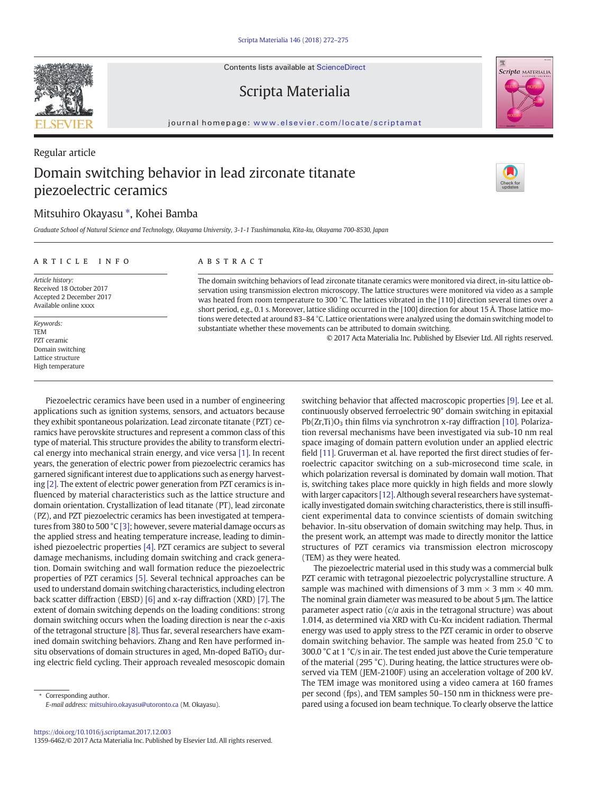Contents lists available at ScienceDirect

## Scripta Materialia

journal homepage: <www.elsevier.com/locate/scriptamat>

## Regular article Domain switching behavior in lead zirconate titanate piezoelectric ceramics

## Mitsuhiro Okayasu ⁎, Kohei Bamba

Graduate School of Natural Science and Technology, Okayama University, 3-1-1 Tsushimanaka, Kita-ku, Okayama 700-8530, Japan

#### article info abstract

Article history: Received 18 October 2017 Accepted 2 December 2017 Available online xxxx

Keywords: TEM PZT ceramic Domain switching Lattice structure High temperature

Piezoelectric ceramics have been used in a number of engineering applications such as ignition systems, sensors, and actuators because they exhibit spontaneous polarization. Lead zirconate titanate (PZT) ceramics have perovskite structures and represent a common class of this type of material. This structure provides the ability to transform electrical energy into mechanical strain energy, and vice versa [\[1\]](#page--1-0). In recent years, the generation of electric power from piezoelectric ceramics has garnered significant interest due to applications such as energy harvesting [\[2\].](#page--1-0) The extent of electric power generation from PZT ceramics is influenced by material characteristics such as the lattice structure and domain orientation. Crystallization of lead titanate (PT), lead zirconate (PZ), and PZT piezoelectric ceramics has been investigated at temperatures from 380 to 500 °C [\[3\];](#page--1-0) however, severe material damage occurs as the applied stress and heating temperature increase, leading to diminished piezoelectric properties [\[4\].](#page--1-0) PZT ceramics are subject to several damage mechanisms, including domain switching and crack generation. Domain switching and wall formation reduce the piezoelectric properties of PZT ceramics [\[5\].](#page--1-0) Several technical approaches can be used to understand domain switching characteristics, including electron back scatter diffraction (EBSD) [\[6\]](#page--1-0) and x-ray diffraction (XRD) [\[7\].](#page--1-0) The extent of domain switching depends on the loading conditions: strong domain switching occurs when the loading direction is near the c-axis of the tetragonal structure [\[8\]](#page--1-0). Thus far, several researchers have examined domain switching behaviors. Zhang and Ren have performed insitu observations of domain structures in aged, Mn-doped BaTiO<sub>3</sub> during electric field cycling. Their approach revealed mesoscopic domain

⁎ Corresponding author. E-mail address: [mitsuhiro.okayasu@utoronto.ca](mailto:mitsuhiro.okayasu@utoronto.ca) (M. Okayasu). switching behavior that affected macroscopic properties [\[9\]](#page--1-0). Lee et al. continuously observed ferroelectric 90° domain switching in epitaxial  $Pb(Zr,Ti)O<sub>3</sub>$  thin films via synchrotron x-ray diffraction [\[10\].](#page--1-0) Polarization reversal mechanisms have been investigated via sub-10 nm real space imaging of domain pattern evolution under an applied electric field [\[11\].](#page--1-0) Gruverman et al. have reported the first direct studies of ferroelectric capacitor switching on a sub-microsecond time scale, in which polarization reversal is dominated by domain wall motion. That is, switching takes place more quickly in high fields and more slowly with larger capacitors [\[12\]](#page--1-0). Although several researchers have systematically investigated domain switching characteristics, there is still insufficient experimental data to convince scientists of domain switching behavior. In-situ observation of domain switching may help. Thus, in the present work, an attempt was made to directly monitor the lattice structures of PZT ceramics via transmission electron microscopy (TEM) as they were heated.

The piezoelectric material used in this study was a commercial bulk PZT ceramic with tetragonal piezoelectric polycrystalline structure. A sample was machined with dimensions of 3 mm  $\times$  3 mm  $\times$  40 mm. The nominal grain diameter was measured to be about 5 μm. The lattice parameter aspect ratio  $(c/a)$  axis in the tetragonal structure) was about 1.014, as determined via XRD with Cu-K $\alpha$  incident radiation. Thermal energy was used to apply stress to the PZT ceramic in order to observe domain switching behavior. The sample was heated from 25.0 °C to 300.0 °C at 1 °C/s in air. The test ended just above the Curie temperature of the material (295 °C). During heating, the lattice structures were observed via TEM (JEM-2100F) using an acceleration voltage of 200 kV. The TEM image was monitored using a video camera at 160 frames per second (fps), and TEM samples 50–150 nm in thickness were prepared using a focused ion beam technique. To clearly observe the lattice

The domain switching behaviors of lead zirconate titanate ceramics were monitored via direct, in-situ lattice observation using transmission electron microscopy. The lattice structures were monitored via video as a sample was heated from room temperature to 300 °C. The lattices vibrated in the [110] direction several times over a short period, e.g., 0.1 s. Moreover, lattice sliding occurred in the [100] direction for about 15 Å. Those lattice motions were detected at around 83–84 °C. Lattice orientations were analyzed using the domain switching model to substantiate whether these movements can be attributed to domain switching.

© 2017 Acta Materialia Inc. Published by Elsevier Ltd. All rights reserved.





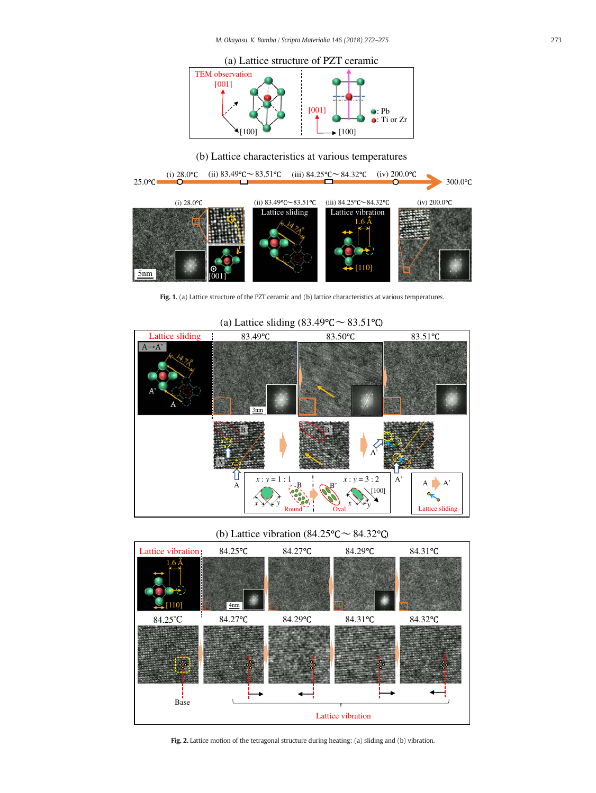

(b) Lattice characteristics at various temperatures



Fig. 1. (a) Lattice structure of the PZT ceramic and (b) lattice characteristics at various temperatures.



### (a) Lattice sliding  $(83.49^{\circ}C \sim 83.51^{\circ}C)$

(b) Lattice vibration (84.25 $\degree$ C  $\sim$  84.32 $\degree$ C)



Fig. 2. Lattice motion of the tetragonal structure during heating: (a) sliding and (b) vibration.